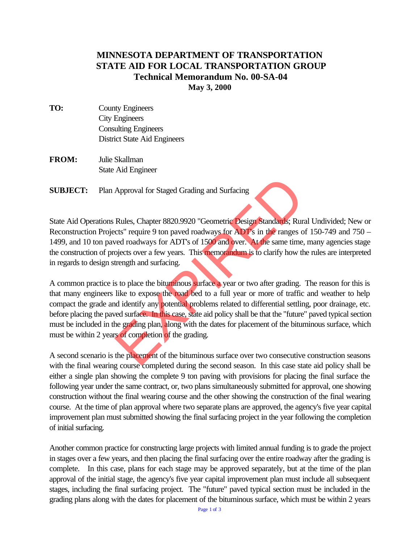## **MINNESOTA DEPARTMENT OF TRANSPORTATION STATE AID FOR LOCAL TRANSPORTATION GROUP Technical Memorandum No. 00-SA-04 May 3, 2000**

- **TO:** County Engineers City Engineers Consulting Engineers District State Aid Engineers
- **FROM:** Julie Skallman State Aid Engineer

**SUBJECT:** Plan Approval for Staged Grading and Surfacing

State Aid Operations Rules, Chapter 8820.9920 "Geometric Design Standards; Rural Undivided; New or Reconstruction Projects" require 9 ton paved roadways for ADT's in the ranges of 150-749 and 750 – 1499, and 10 ton paved roadways for ADT's of 1500 and over. At the same time, many agencies stage the construction of projects over a few years. This memorandum is to clarify how the rules are interpreted in regards to design strength and surfacing.

A common practice is to place the bituminous surface a year or two after grading. The reason for this is that many engineers like to expose the road bed to a full year or more of traffic and weather to help compact the grade and identify any potential problems related to differential settling, poor drainage, etc. before placing the paved surface. In this case, state aid policy shall be that the "future" paved typical section must be included in the grading plan, along with the dates for placement of the bituminous surface, which must be within 2 years of completion of the grading. Approval for Staged Grading and Surfacing<br>
Rules, Chapter 8820.9920 "Geometric Design Standards; Rur<br>
cts" require 9 ton paved roadways for ADT's in the ranges over<br>
red roadways for ADT's of 1500 and over. At the same tim

A second scenario is the placement of the bituminous surface over two consecutive construction seasons with the final wearing course completed during the second season. In this case state aid policy shall be either a single plan showing the complete 9 ton paving with provisions for placing the final surface the following year under the same contract, or, two plans simultaneously submitted for approval, one showing construction without the final wearing course and the other showing the construction of the final wearing course. At the time of plan approval where two separate plans are approved, the agency's five year capital improvement plan must submitted showing the final surfacing project in the year following the completion of initial surfacing.

Another common practice for constructing large projects with limited annual funding is to grade the project in stages over a few years, and then placing the final surfacing over the entire roadway after the grading is complete. In this case, plans for each stage may be approved separately, but at the time of the plan approval of the initial stage, the agency's five year capital improvement plan must include all subsequent stages, including the final surfacing project. The "future" paved typical section must be included in the grading plans along with the dates for placement of the bituminous surface, which must be within 2 years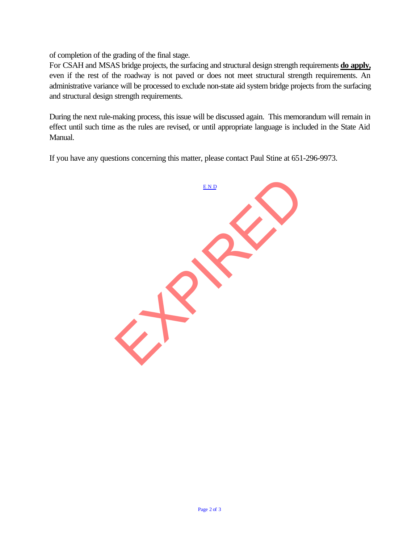of completion of the grading of the final stage.

For CSAH and MSAS bridge projects, the surfacing and structural design strength requirements **do apply,** even if the rest of the roadway is not paved or does not meet structural strength requirements. An administrative variance will be processed to exclude non-state aid system bridge projects from the surfacing and structural design strength requirements.

During the next rule-making process, this issue will be discussed again. This memorandum will remain in effect until such time as the rules are revised, or until appropriate language is included in the State Aid Manual.

If you have any questions concerning this matter, please contact Paul Stine at 651-296-9973.